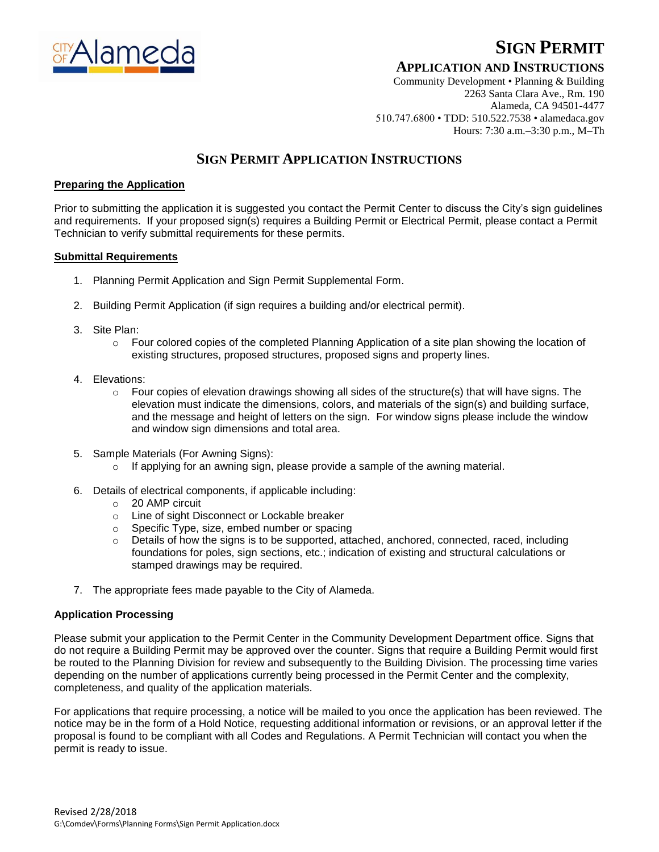

# **SIGN PERMIT**

### **APPLICATION AND INSTRUCTIONS**

Community Development • Planning & Building 2263 Santa Clara Ave., Rm. 190 Alameda, CA 94501-4477 510.747.6800 • TDD: 510.522.7538 • alamedaca.gov Hours: 7:30 a.m.–3:30 p.m., M–Th

## **SIGN PERMIT APPLICATION INSTRUCTIONS**

#### **Preparing the Application**

Prior to submitting the application it is suggested you contact the Permit Center to discuss the City's sign guidelines and requirements. If your proposed sign(s) requires a Building Permit or Electrical Permit, please contact a Permit Technician to verify submittal requirements for these permits.

#### **Submittal Requirements**

- 1. Planning Permit Application and Sign Permit Supplemental Form.
- 2. Building Permit Application (if sign requires a building and/or electrical permit).
- 3. Site Plan:
	- o Four colored copies of the completed Planning Application of a site plan showing the location of existing structures, proposed structures, proposed signs and property lines.
- 4. Elevations:
	- o Four copies of elevation drawings showing all sides of the structure(s) that will have signs. The elevation must indicate the dimensions, colors, and materials of the sign(s) and building surface, and the message and height of letters on the sign. For window signs please include the window and window sign dimensions and total area.
- 5. Sample Materials (For Awning Signs):
	- $\circ$  If applying for an awning sign, please provide a sample of the awning material.
- 6. Details of electrical components, if applicable including:
	- o 20 AMP circuit
	- o Line of sight Disconnect or Lockable breaker
	- o Specific Type, size, embed number or spacing
	- $\circ$  Details of how the signs is to be supported, attached, anchored, connected, raced, including foundations for poles, sign sections, etc.; indication of existing and structural calculations or stamped drawings may be required.
- 7. The appropriate fees made payable to the City of Alameda.

#### **Application Processing**

Please submit your application to the Permit Center in the Community Development Department office. Signs that do not require a Building Permit may be approved over the counter. Signs that require a Building Permit would first be routed to the Planning Division for review and subsequently to the Building Division. The processing time varies depending on the number of applications currently being processed in the Permit Center and the complexity, completeness, and quality of the application materials.

For applications that require processing, a notice will be mailed to you once the application has been reviewed. The notice may be in the form of a Hold Notice, requesting additional information or revisions, or an approval letter if the proposal is found to be compliant with all Codes and Regulations. A Permit Technician will contact you when the permit is ready to issue.